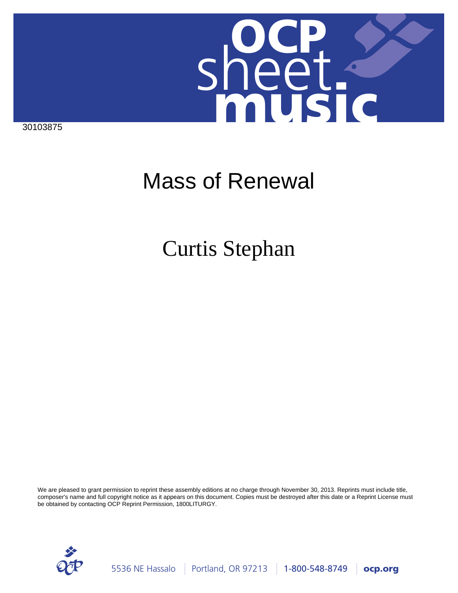

30103875

# Mass of Renewal

## Curtis Stephan

We are pleased to grant permission to reprint these assembly editions at no charge through November 30, 2013. Reprints must include title, composer's name and full copyright notice as it appears on this document. Copies must be destroyed after this date or a Reprint License must be obtained by contacting OCP Reprint Permission, 1800LITURGY.

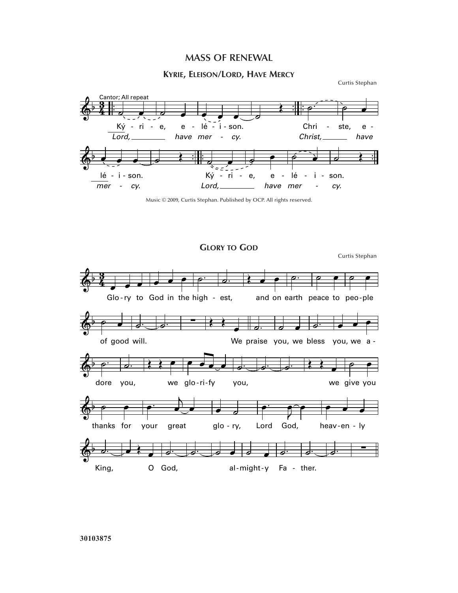## **MASS OF RENEWAL**

### **KYRIE, ELEISON/LORD, HAVE MERCY**

Curtis Stephan



Music © 2009, Curtis Stephan. Published by OCP. All rights reserved.

**GLORY TO GOD**

Curtis Stephan  $\frac{1}{6}$ **3**  $\overline{\phantom{a}}$ Glo-ry to God in the high - est,  $\overrightarrow{e}$  $\frac{1}{\mathcal{P}}$ ˙.  $\overline{\mathbf{r}^2$ -ry to God in the high - est, and on earth peace to peo-ple ˙.  $\overline{\mathcal{C}}$  $\overline{\mathcal{C}}$  $\frac{\partial}{\partial x^2}$  $\overset{\circ}{\Phi}$ <sup>b</sup>  $\overset{\circ}{\Phi}$ King,  $\frac{1}{\epsilon}$ O God, ˙.  $\overrightarrow{c}$   $\overrightarrow{c}$ al-might-y Fa - ther.  $\overline{\phantom{a}}$  $\frac{1}{\phi}$  $\frac{1}{\phi}$ ˙. ∑  $\phi$   $\rightarrow$   $\rightarrow$ thanks for  $\overrightarrow{e}$ è, your great  $\overline{\bullet}$ glo -  $ry$ ,  $\begin{array}{c} \bullet \\ \bullet \\ \bullet \end{array}$  $\overline{\mathbf{e}^{\frown} \bullet}$ Lord God,  $\overrightarrow{e}$ heav-en - ly  $\overset{\circ}{\bullet}$   $\overset{\circ}{\bullet}$ dore you, ˙.  $\overrightarrow{a}$ we glo ri fy œ œ œ œ ˙. you,  $\overrightarrow{c}$ . we - - give you  $\overline{\qquad}$  $\phi$   $\rightarrow$   $\bullet$ of good will.  $\frac{1}{e}$ ˙. ∑ Œ Œ  $\overline{\bullet}$ We praise you, we bless you, we a -˙.  $\overline{\phantom{a}}$ ˙.  $\overrightarrow{e}$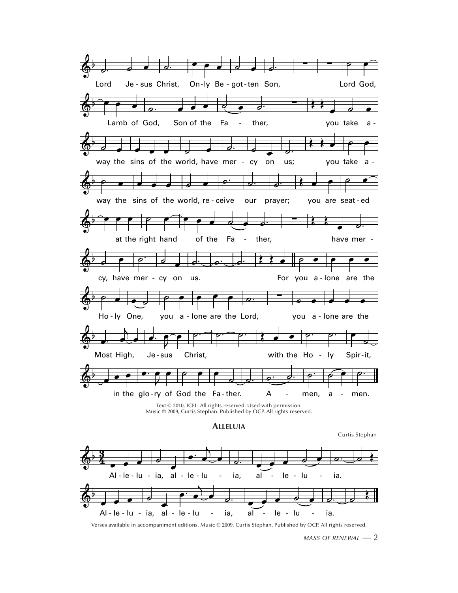

Verses available in accompaniment editions. Music © 2009, Curtis Stephan. Published by OCP. All rights reserved.

MASS OF RENEWAL  $-2$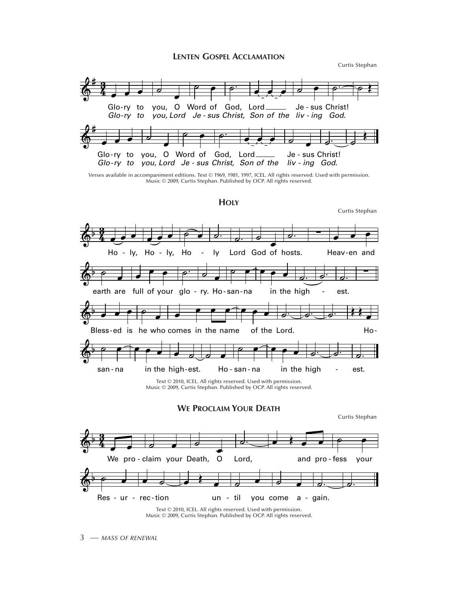#### **LENTEN GOSPEL ACCLAMATION**

Curtis Stephan

Curtis Stephan

Curtis Stephan



Verses available in accompaniment editions. Text © 1969, 1981, 1997, ICEL. All rights reserved. Used with permission. Music © 2009, Curtis Stephan. Published by OCP. All rights reserved.

#### **HOLY**



Music © 2009, Curtis Stephan. Published by OCP. All rights reserved.

**WE PROCLAIM YOUR DEATH** 

We pro-claim your Death,  $\circ$ Lord, and pro-fess your Res - ur - rec-tion un - til you come a - gain.

Text © 2010, ICEL. All rights reserved. Used with permission. Music © 2009, Curtis Stephan. Published by OCP. All rights reserved.

3 - MASS OF RENEWAL